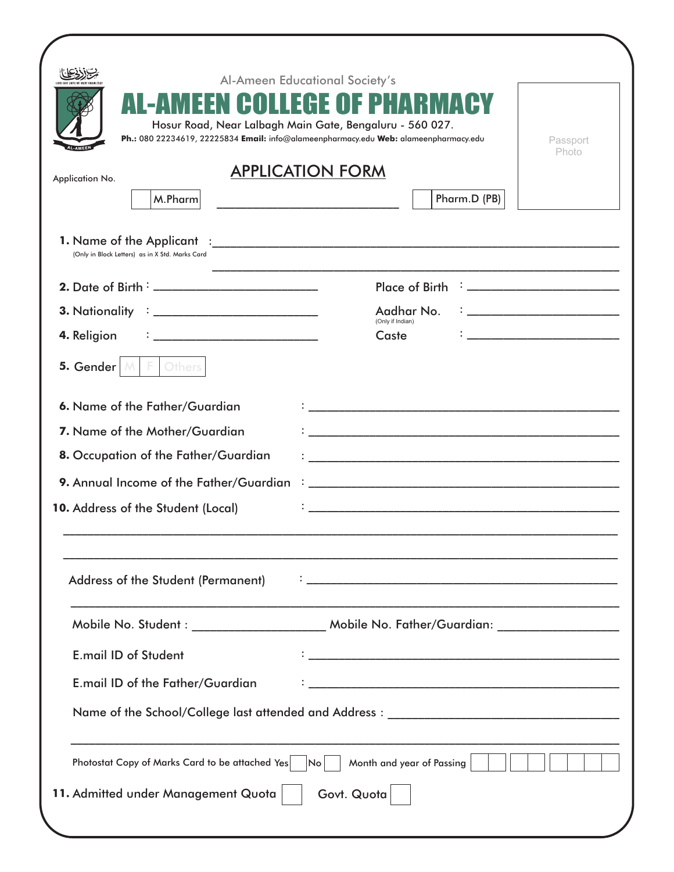| Application No.<br>M.Pharm                                                                                            | Hosur Road, Near Lalbagh Main Gate, Bengaluru - 560 027.<br>Ph.: 080 22234619, 22225834 Email: info@alameenpharmacy.edu Web: alameenpharmacy.edu<br>Passport<br><b>Photo</b><br><b>APPLICATION FORM</b><br>Pharm.D (PB) |
|-----------------------------------------------------------------------------------------------------------------------|-------------------------------------------------------------------------------------------------------------------------------------------------------------------------------------------------------------------------|
| (Only in Block Letters) as in X Std. Marks Card                                                                       |                                                                                                                                                                                                                         |
|                                                                                                                       | Place of Birth : _________________________                                                                                                                                                                              |
|                                                                                                                       | <u> 1999 - Johann Harry Barn, mars ar brening ar yn y brening yn y brening yn y brening yn y brening yn y brening y</u><br>Aadhar No.                                                                                   |
| 4. Religion                                                                                                           | (Only if Indian)<br>Caste<br><u> 1990 - Johann John Harry Harry Harry Harry Harry Harry Harry Harry Harry Harry Harry Harry Harry Harry Harry</u>                                                                       |
| 5. Gender $ M $<br>F Others                                                                                           |                                                                                                                                                                                                                         |
| 6. Name of the Father/Guardian<br>7. Name of the Mother/Guardian                                                      |                                                                                                                                                                                                                         |
| 8. Occupation of the Father/Guardian<br>9. Annual Income of the Father/Guardian<br>10. Address of the Student (Local) | <u> 1980 - Andrea Andrewski, fransk politik (d. 1980)</u><br><u> 1980 - Jan Barnett, fransk politik (d. 1980)</u>                                                                                                       |
| <b>Address of the Student (Permanent)</b>                                                                             |                                                                                                                                                                                                                         |
|                                                                                                                       | Mobile No. Student : _________________________ Mobile No. Father/Guardian: ________________________                                                                                                                     |
| <b>E.mail ID of Student</b>                                                                                           |                                                                                                                                                                                                                         |
| E.mail ID of the Father/Guardian                                                                                      |                                                                                                                                                                                                                         |
|                                                                                                                       |                                                                                                                                                                                                                         |
| Photostat Copy of Marks Card to be attached Yes                                                                       | Month and year of Passing<br>lNo.                                                                                                                                                                                       |